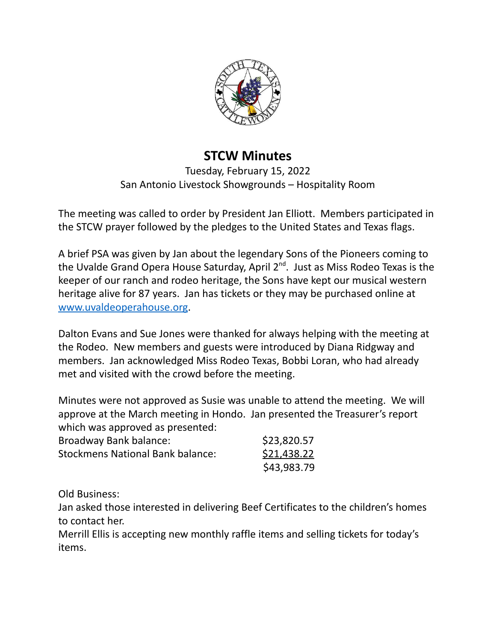

## **STCW Minutes**

Tuesday, February 15, 2022 San Antonio Livestock Showgrounds – Hospitality Room

The meeting was called to order by President Jan Elliott. Members participated in the STCW prayer followed by the pledges to the United States and Texas flags.

A brief PSA was given by Jan about the legendary Sons of the Pioneers coming to the Uvalde Grand Opera House Saturday, April 2<sup>nd</sup>. Just as Miss Rodeo Texas is the keeper of our ranch and rodeo heritage, the Sons have kept our musical western heritage alive for 87 years. Jan has tickets or they may be purchased online at [www.uvaldeoperahouse.org](http://www.uvaldeoperahouse.org).

Dalton Evans and Sue Jones were thanked for always helping with the meeting at the Rodeo. New members and guests were introduced by Diana Ridgway and members. Jan acknowledged Miss Rodeo Texas, Bobbi Loran, who had already met and visited with the crowd before the meeting.

Minutes were not approved as Susie was unable to attend the meeting. We will approve at the March meeting in Hondo. Jan presented the Treasurer's report which was approved as presented:

| Broadway Bank balance:                  | \$23,820.57 |
|-----------------------------------------|-------------|
| <b>Stockmens National Bank balance:</b> | \$21,438.22 |
|                                         | \$43,983.79 |

Old Business:

Jan asked those interested in delivering Beef Certificates to the children's homes to contact her.

Merrill Ellis is accepting new monthly raffle items and selling tickets for today's items.